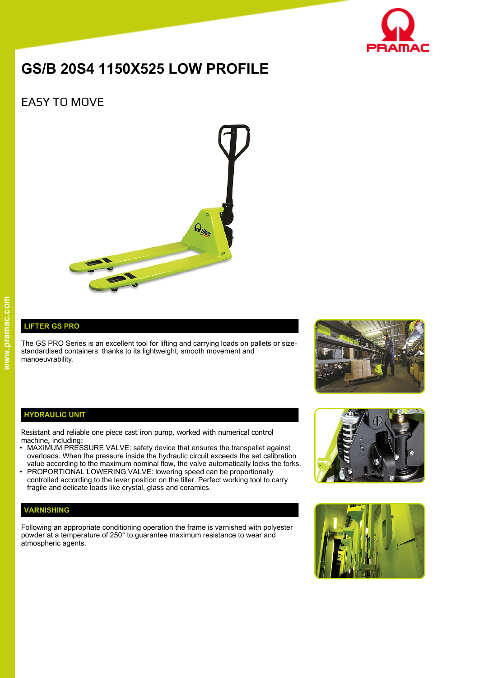

# **GS/B 20S4 1150X525 LOW PROFILE**

# EASY TO MOVE



## **LIFTER GS PRO**

The GS PRO Series is an excellent tool for lifting and carrying loads on pallets or sizestandardised containers, thanks to its lightweight, smooth movement and manoeuvrability.



#### **HYDRAULIC UNIT**

Resistant and reliable one piece cast iron pump, worked with numerical control machine, including:

- MAXIMUM PRESSURE VALVE: safety device that ensures the transpallet against overloads. When the pressure inside the hydraulic circuit exceeds the set calibration value according to the maximum nominal flow, the valve automatically locks the forks.
- PROPORTIONAL LOWERING VALVE: lowering speed can be proportionally controlled according to the lever position on the tiller. Perfect working tool to carry fragile and delicate loads like crystal, glass and ceramics.

### **VARNISHING**

Following an appropriate conditioning operation the frame is varnished with polyester powder at a temperature of 250° to guarantee maximum resistance to wear and atmospheric agents.



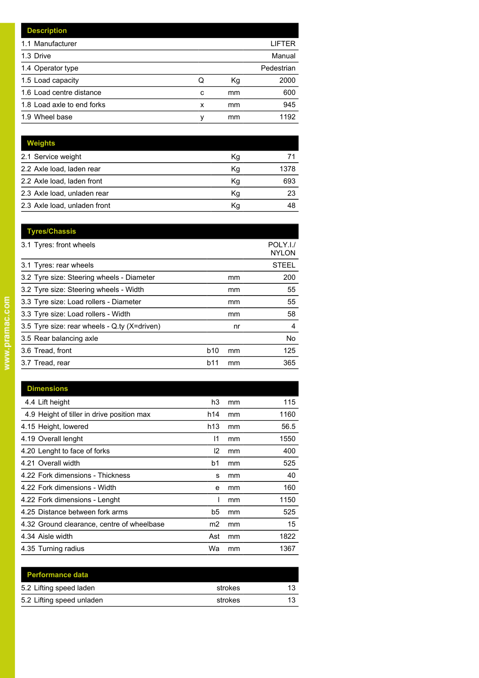|   |    | LIFTER     |
|---|----|------------|
|   |    | Manual     |
|   |    | Pedestrian |
| Q | Кg | 2000       |
| c | mm | 600        |
| x | mm | 945        |
| ν | mm | 1192       |
|   |    |            |

| <b>Weights</b>               |    |      |
|------------------------------|----|------|
| 2.1 Service weight           | Кg |      |
| 2.2 Axle load, laden rear    | Kg | 1378 |
| 2.2 Axle load, laden front   | Kg | 693  |
| 2.3 Axle load, unladen rear  | Κq | 23   |
| 2.3 Axle load, unladen front | Κq | 48   |

|            |    | POLY.I./<br><b>NYLON</b> |
|------------|----|--------------------------|
|            |    | <b>STEEL</b>             |
|            | mm | 200                      |
|            | mm | 55                       |
|            | mm | 55                       |
|            | mm | 58                       |
|            | nr | 4                        |
|            |    | No.                      |
| <b>b10</b> | mm | 125                      |
| b11        | mm | 365                      |
|            |    |                          |

| <b>Dimensions</b>                          |                |    |      |
|--------------------------------------------|----------------|----|------|
| 4.4 Lift height                            | h3             | mm | 115  |
| 4.9 Height of tiller in drive position max | h14            | mm | 1160 |
| 4.15 Height, lowered                       | h13            | mm | 56.5 |
| 4.19 Overall lenght                        | 11             | mm | 1550 |
| 4.20 Lenght to face of forks               | 12             | mm | 400  |
| 4.21 Overall width                         | b1             | mm | 525  |
| 4.22 Fork dimensions - Thickness           | s              | mm | 40   |
| 4.22 Fork dimensions - Width               | е              | mm | 160  |
| 4.22 Fork dimensions - Lenght              |                | mm | 1150 |
| 4.25 Distance between fork arms            | b5             | mm | 525  |
| 4.32 Ground clearance, centre of wheelbase | m <sub>2</sub> | mm | 15   |
| 4.34 Aisle width                           | Ast            | mm | 1822 |
| 4.35 Turning radius                        | Wa             | mm | 1367 |

| <b>Performance data</b>   |         |    |
|---------------------------|---------|----|
| 5.2 Lifting speed laden   | strokes | 13 |
| 5.2 Lifting speed unladen | strokes | 13 |
|                           |         |    |